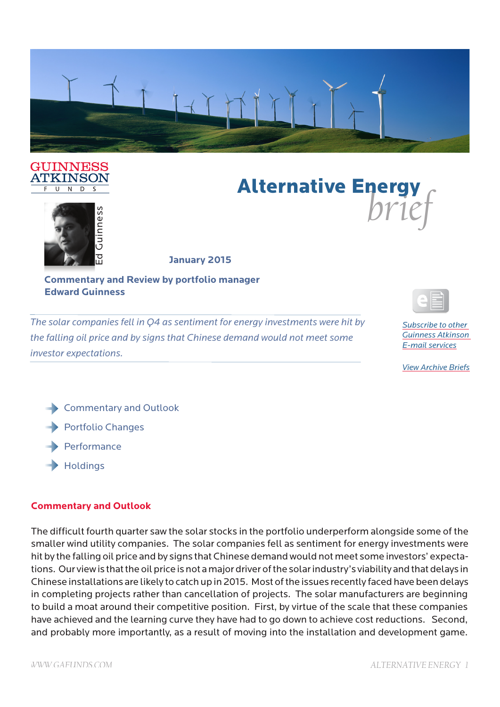

#### GUINNESS **ATKINSON**  $\overline{U}$  $N$  D





**January 2015**

### **Commentary and Review by portfolio manager Edward Guinness**

*The solar companies fell in Q4 as sentiment for energy investments were hit by the falling oil price and by signs that Chinese demand would not meet some investor expectations.*



*Subscribe to other Guinness Atkinson E-mail services*

*View Archive Briefs*

**Commentary and Outlook** Portfolio Changes Performance  $\rightarrow$  Holdings

# **Commentary and Outlook**

*D*  $f' \ll 1$ <br> **B**<br> **Examples the system of Review by portfolio manager<br>
<b>Examples ENERGY and Review by portfolio manager**<br>
The solar companies (ed in Q4 as sentiment for energy investments were hit by<br>
the falting oil pric The difficult fourth quarter saw the solar stocks in the portfolio underperform alongside some of the smaller wind utility companies. The solar companies fell as sentiment for energy investments were hit by the falling oil price and by signs that Chinese demand would not meet some investors' expectations. Our view is that the oil price is not a major driver of the solar industry's viability and that delays in Chinese installations are likely to catch up in 2015. Most of the issues recently faced have been delays in completing projects rather than cancellation of projects. The solar manufacturers are beginning to build a moat around their competitive position. First, by virtue of the scale that these companies have achieved and the learning curve they have had to go down to achieve cost reductions. Second, and probably more importantly, as a result of moving into the installation and development game.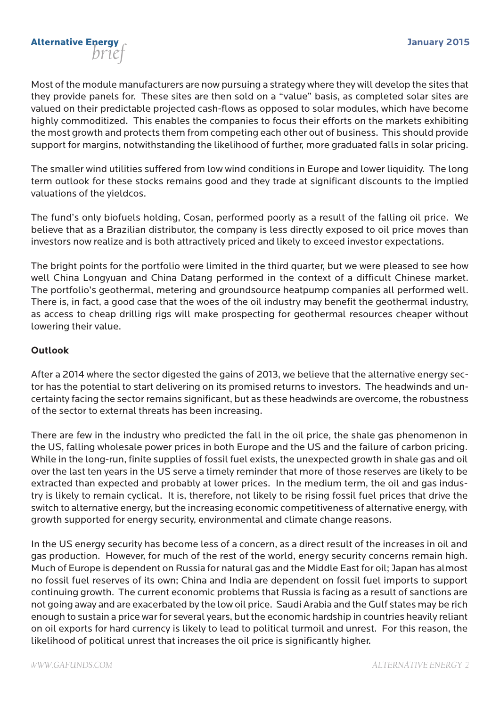

Most of the module manufacturers are now pursuing a strategy where they will develop the sites that they provide panels for. These sites are then sold on a "value" basis, as completed solar sites are valued on their predictable projected cash-flows as opposed to solar modules, which have become highly commoditized. This enables the companies to focus their efforts on the markets exhibiting the most growth and protects them from competing each other out of business. This should provide support for margins, notwithstanding the likelihood of further, more graduated falls in solar pricing.

The smaller wind utilities suffered from low wind conditions in Europe and lower liquidity. The long term outlook for these stocks remains good and they trade at significant discounts to the implied valuations of the yieldcos.

The fund's only biofuels holding, Cosan, performed poorly as a result of the falling oil price. We believe that as a Brazilian distributor, the company is less directly exposed to oil price moves than investors now realize and is both attractively priced and likely to exceed investor expectations.

The bright points for the portfolio were limited in the third quarter, but we were pleased to see how well China Longyuan and China Datang performed in the context of a difficult Chinese market. The portfolio's geothermal, metering and groundsource heatpump companies all performed well. There is, in fact, a good case that the woes of the oil industry may benefit the geothermal industry, as access to cheap drilling rigs will make prospecting for geothermal resources cheaper without lowering their value.

### **Outlook**

After a 2014 where the sector digested the gains of 2013, we believe that the alternative energy sector has the potential to start delivering on its promised returns to investors. The headwinds and uncertainty facing the sector remains significant, but as these headwinds are overcome, the robustness of the sector to external threats has been increasing.

There are few in the industry who predicted the fall in the oil price, the shale gas phenomenon in the US, falling wholesale power prices in both Europe and the US and the failure of carbon pricing. While in the long-run, finite supplies of fossil fuel exists, the unexpected growth in shale gas and oil over the last ten years in the US serve a timely reminder that more of those reserves are likely to be extracted than expected and probably at lower prices. In the medium term, the oil and gas industry is likely to remain cyclical. It is, therefore, not likely to be rising fossil fuel prices that drive the switch to alternative energy, but the increasing economic competitiveness of alternative energy, with growth supported for energy security, environmental and climate change reasons.

In the US energy security has become less of a concern, as a direct result of the increases in oil and gas production. However, for much of the rest of the world, energy security concerns remain high. Much of Europe is dependent on Russia for natural gas and the Middle East for oil; Japan has almost no fossil fuel reserves of its own; China and India are dependent on fossil fuel imports to support continuing growth. The current economic problems that Russia is facing as a result of sanctions are not going away and are exacerbated by the low oil price. Saudi Arabia and the Gulf states may be rich enough to sustain a price war for several years, but the economic hardship in countries heavily reliant on oil exports for hard currency is likely to lead to political turmoil and unrest. For this reason, the likelihood of political unrest that increases the oil price is significantly higher.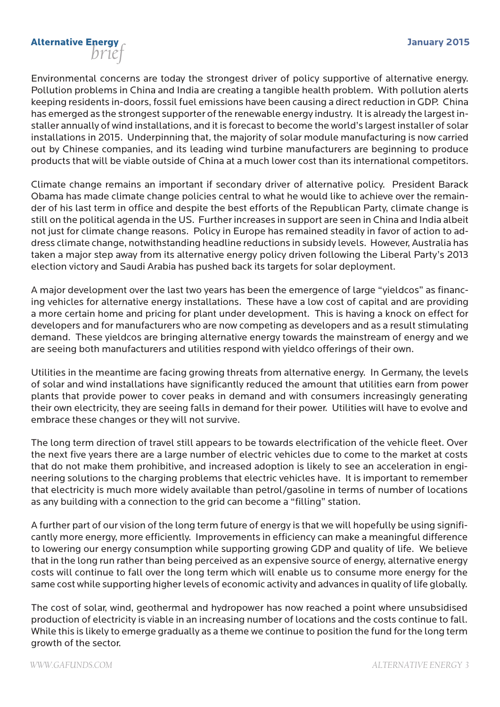# **January 2015** *brief* Alternative Energy

Environmental concerns are today the strongest driver of policy supportive of alternative energy. Pollution problems in China and India are creating a tangible health problem. With pollution alerts keeping residents in-doors, fossil fuel emissions have been causing a direct reduction in GDP. China has emerged as the strongest supporter of the renewable energy industry. It is already the largest installer annually of wind installations, and it is forecast to become the world's largest installer of solar installations in 2015. Underpinning that, the majority of solar module manufacturing is now carried out by Chinese companies, and its leading wind turbine manufacturers are beginning to produce products that will be viable outside of China at a much lower cost than its international competitors.

Climate change remains an important if secondary driver of alternative policy. President Barack Obama has made climate change policies central to what he would like to achieve over the remainder of his last term in office and despite the best efforts of the Republican Party, climate change is still on the political agenda in the US. Further increases in support are seen in China and India albeit not just for climate change reasons. Policy in Europe has remained steadily in favor of action to address climate change, notwithstanding headline reductions in subsidy levels. However, Australia has taken a major step away from its alternative energy policy driven following the Liberal Party's 2013 election victory and Saudi Arabia has pushed back its targets for solar deployment.

A major development over the last two years has been the emergence of large "yieldcos" as financing vehicles for alternative energy installations. These have a low cost of capital and are providing a more certain home and pricing for plant under development. This is having a knock on effect for developers and for manufacturers who are now competing as developers and as a result stimulating demand. These yieldcos are bringing alternative energy towards the mainstream of energy and we are seeing both manufacturers and utilities respond with yieldco offerings of their own.

Utilities in the meantime are facing growing threats from alternative energy. In Germany, the levels of solar and wind installations have significantly reduced the amount that utilities earn from power plants that provide power to cover peaks in demand and with consumers increasingly generating their own electricity, they are seeing falls in demand for their power. Utilities will have to evolve and embrace these changes or they will not survive.

The long term direction of travel still appears to be towards electrification of the vehicle fleet. Over the next five years there are a large number of electric vehicles due to come to the market at costs that do not make them prohibitive, and increased adoption is likely to see an acceleration in engineering solutions to the charging problems that electric vehicles have. It is important to remember that electricity is much more widely available than petrol/gasoline in terms of number of locations as any building with a connection to the grid can become a "filling" station.

A further part of our vision of the long term future of energy is that we will hopefully be using significantly more energy, more efficiently. Improvements in efficiency can make a meaningful difference to lowering our energy consumption while supporting growing GDP and quality of life. We believe that in the long run rather than being perceived as an expensive source of energy, alternative energy costs will continue to fall over the long term which will enable us to consume more energy for the same cost while supporting higher levels of economic activity and advances in quality of life globally.

The cost of solar, wind, geothermal and hydropower has now reached a point where unsubsidised production of electricity is viable in an increasing number of locations and the costs continue to fall. While this is likely to emerge gradually as a theme we continue to position the fund for the long term growth of the sector.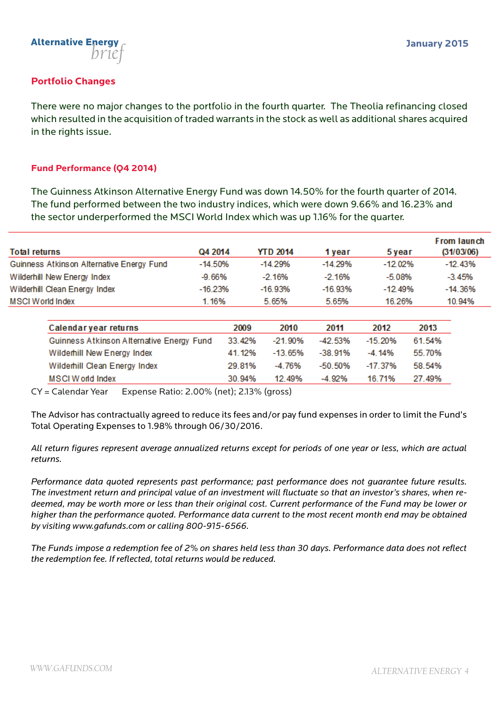

## **Portfolio Changes**

There were no major changes to the portfolio in the fourth quarter. The Theolia refinancing closed which resulted in the acquisition of traded warrants in the stock as well as additional shares acquired in the rights issue.

### **Fund Performance (Q4 2014)**

The Guinness Atkinson Alternative Energy Fund was down 14.50% for the fourth quarter of 2014. The fund performed between the two industry indices, which were down 9.66% and 16.23% and the sector underperformed the MSCI World Index which was up 1.16% for the quarter.

|                                           |           | <b>YTD 2014</b> | 1 vear    |            | From launch |  |
|-------------------------------------------|-----------|-----------------|-----------|------------|-------------|--|
| <b>Total returns</b>                      | Q4 2014   |                 |           | 5 year     | (31/03/06)  |  |
| Guinness Atkinson Alternative Energy Fund | $-14.50%$ | -14.29%         | $-14.29%$ | $-12.02\%$ | $-12.43%$   |  |
| Wilderhill New Energy Index               | -9.66%    | -2 16%          | $-2.16%$  | -5.08%     | $-3.45%$    |  |
| Wilderhill Clean Energy Index             | $-16.23%$ | -16.93%         | -16.93%   | $-12.49%$  | $-14.36%$   |  |
| MSCI World Index                          | 1.16%     | 5.65%           | 5.65%     | 16.26%     | 10.94%      |  |

| Calendar year returns                     | 2009   | 2010    | 2011       | 2012       | 2013   |
|-------------------------------------------|--------|---------|------------|------------|--------|
| Guinness Atkinson Alternative Energy Fund | 33.42% | -21.90% | -42.53%    | $-15.20%$  | 61.54% |
| Wilderhill New Energy Index               | 41 12% | -13.65% | $-38.91\%$ | $-4.14\%$  | 55.70% |
| Wilderhill Clean Energy Index             | 29.81% | -4 76%  | -50.50%    | $-17.37\%$ | 58.54% |
| <b>MSCI World Index</b>                   | 30 94% | 12 49%  | $-4.92%$   | 16 71%     | 27.49% |

CY = Calendar Year Expense Ratio: 2.00% (net); 2.13% (gross)

The Advisor has contractually agreed to reduce its fees and/or pay fund expenses in order to limit the Fund's Total Operating Expenses to 1.98% through 06/30/2016.

*All return figures represent average annualized returns except for periods of one year or less, which are actual returns.*

*Performance data quoted represents past performance; past performance does not guarantee future results. The investment return and principal value of an investment will fluctuate so that an investor's shares, when redeemed, may be worth more or less than their original cost. Current performance of the Fund may be lower or higher than the performance quoted. Performance data current to the most recent month end may be obtained by visiting www.gafunds.com or calling 800-915-6566.*

*The Funds impose a redemption fee of 2% on shares held less than 30 days. Performance data does not reflect the redemption fee. If reflected, total returns would be reduced.*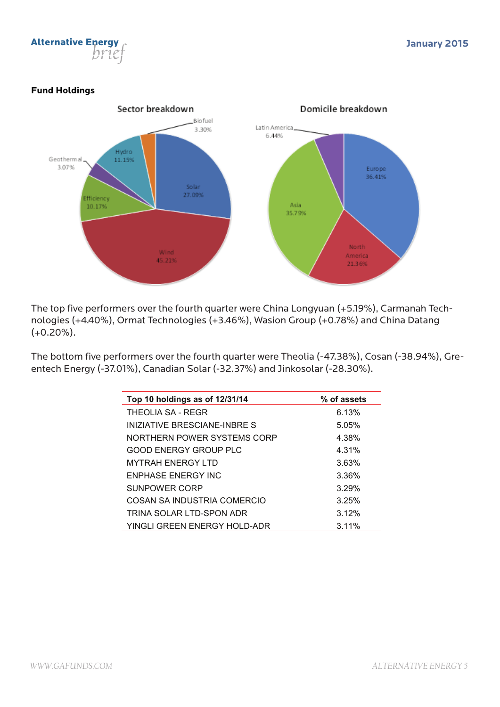

### **Fund Holdings**



The top five performers over the fourth quarter were China Longyuan (+5.19%), Carmanah Technologies (+4.40%), Ormat Technologies (+3.46%), Wasion Group (+0.78%) and China Datang (+0.20%).

The bottom five performers over the fourth quarter were Theolia (-47.38%), Cosan (-38.94%), Greentech Energy (-37.01%), Canadian Solar (-32.37%) and Jinkosolar (-28.30%).

| Top 10 holdings as of 12/31/14 | % of assets |
|--------------------------------|-------------|
| THEOLIA SA - REGR              | 6.13%       |
| INIZIATIVE BRESCIANE-INBRE S   | 5.05%       |
| NORTHERN POWER SYSTEMS CORP    | 4.38%       |
| GOOD ENERGY GROUP PLC          | 4.31%       |
| <b>MYTRAH ENERGY LTD</b>       | 3.63%       |
| ENPHASE ENERGY INC             | 3.36%       |
| SUNPOWER CORP                  | 3.29%       |
| COSAN SA INDUSTRIA COMERCIO    | 3.25%       |
| TRINA SOLAR LTD-SPON ADR       | 3.12%       |
| YINGLI GREEN ENERGY HOLD-ADR   | $3.11\%$    |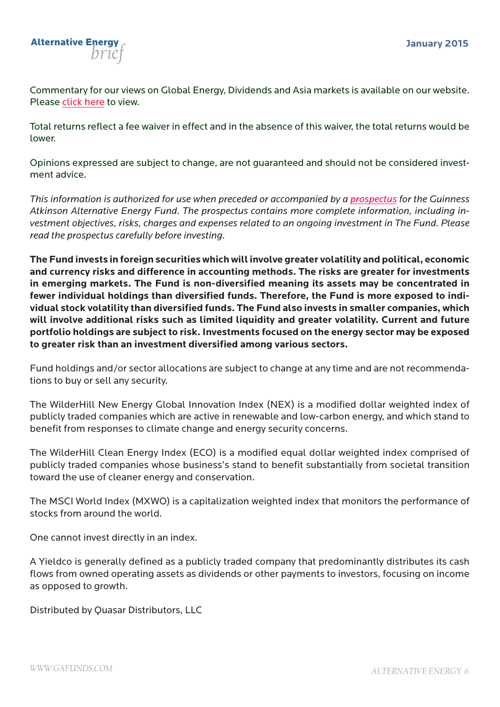

Commentary for our views on Global Energy, Dividends and Asia markets is available on our website. Please click here to view.

Total returns reflect a fee waiver in effect and in the absence of this waiver, the total returns would be lower.

Opinions expressed are subject to change, are not guaranteed and should not be considered investment advice.

*This information is authorized for use when preceded or accompanied by a prospectus for the Guinness Atkinson Alternative Energy Fund. The prospectus contains more complete information, including investment objectives, risks, charges and expenses related to an ongoing investment in The Fund. Please read the prospectus carefully before investing.* 

**The Fund invests in foreign securities which will involve greater volatility and political, economic and currency risks and difference in accounting methods. The risks are greater for investments in emerging markets. The Fund is non-diversified meaning its assets may be concentrated in fewer individual holdings than diversified funds. Therefore, the Fund is more exposed to individual stock volatility than diversified funds. The Fund also invests in smaller companies, which will involve additional risks such as limited liquidity and greater volatility. Current and future portfolio holdings are subject to risk. Investments focused on the energy sector may be exposed to greater risk than an investment diversified among various sectors.**

Fund holdings and/or sector allocations are subject to change at any time and are not recommendations to buy or sell any security.

The WilderHill New Energy Global Innovation Index (NEX) is a modified dollar weighted index of publicly traded companies which are active in renewable and low-carbon energy, and which stand to benefit from responses to climate change and energy security concerns.

The WilderHill Clean Energy Index (ECO) is a modified equal dollar weighted index comprised of publicly traded companies whose business's stand to benefit substantially from societal transition toward the use of cleaner energy and conservation.

The MSCI World Index (MXWO) is a capitalization weighted index that monitors the performance of stocks from around the world.

One cannot invest directly in an index.

A Yieldco is generally defined as a publicly traded company that predominantly distributes its cash flows from owned operating assets as dividends or other payments to investors, focusing on income as opposed to growth.

Distributed by Quasar Distributors, LLC